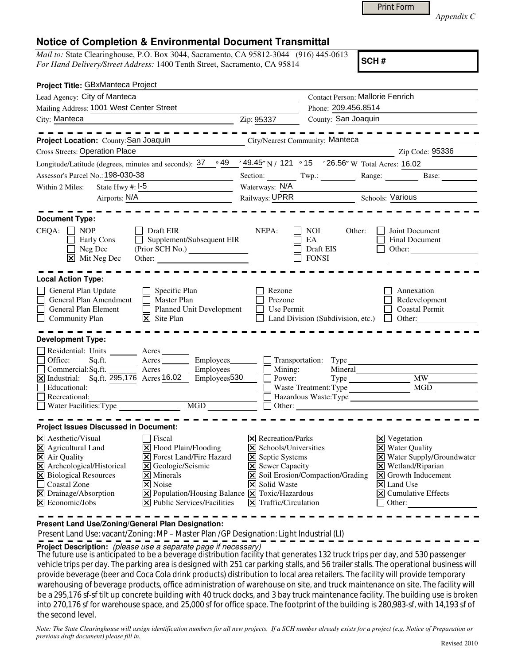|--|

*Appendix C* 

## **Notice of Completion & Environmental Document Transmittal**

*Mail to:* State Clearinghouse, P.O. Box 3044, Sacramento, CA 95812-3044 (916) 445-0613 *For Hand Delivery/Street Address:* 1400 Tenth Street, Sacramento, CA 95814

**SCH #**

| Project Title: GBxManteca Project                                                                                                                                                                                                                                                                                                                                                                                |                                                                                                                                                     |                                                   |                                                                                                                                                                                                                                      |  |
|------------------------------------------------------------------------------------------------------------------------------------------------------------------------------------------------------------------------------------------------------------------------------------------------------------------------------------------------------------------------------------------------------------------|-----------------------------------------------------------------------------------------------------------------------------------------------------|---------------------------------------------------|--------------------------------------------------------------------------------------------------------------------------------------------------------------------------------------------------------------------------------------|--|
| Lead Agency: City of Manteca                                                                                                                                                                                                                                                                                                                                                                                     | <b>Contact Person: Mallorie Fenrich</b>                                                                                                             |                                                   |                                                                                                                                                                                                                                      |  |
| Mailing Address: 1001 West Center Street                                                                                                                                                                                                                                                                                                                                                                         |                                                                                                                                                     | Phone: 209.456.8514                               |                                                                                                                                                                                                                                      |  |
| City: Manteca<br><u> 1980 - Johann Barbara, martin a</u>                                                                                                                                                                                                                                                                                                                                                         | Zip: 95337                                                                                                                                          | County: San Joaquin                               |                                                                                                                                                                                                                                      |  |
| -------                                                                                                                                                                                                                                                                                                                                                                                                          |                                                                                                                                                     |                                                   | -----------                                                                                                                                                                                                                          |  |
| Project Location: County: San Joaquin                                                                                                                                                                                                                                                                                                                                                                            | City/Nearest Community: Manteca                                                                                                                     |                                                   |                                                                                                                                                                                                                                      |  |
| <b>Cross Streets: Operation Place</b>                                                                                                                                                                                                                                                                                                                                                                            |                                                                                                                                                     |                                                   | Zip Code: 95336                                                                                                                                                                                                                      |  |
| Longitude/Latitude (degrees, minutes and seconds): $37 \cdot 949 \cdot 49.45$ N / 121 $\cdot 15$ / 26.56" W Total Acres: 16.02                                                                                                                                                                                                                                                                                   |                                                                                                                                                     |                                                   |                                                                                                                                                                                                                                      |  |
| Assessor's Parcel No.: 198-030-38                                                                                                                                                                                                                                                                                                                                                                                |                                                                                                                                                     |                                                   | Section: Twp.: Range: Base:                                                                                                                                                                                                          |  |
| State Hwy #: $\boxed{1-5}$<br>Within 2 Miles:                                                                                                                                                                                                                                                                                                                                                                    |                                                                                                                                                     | Waterways: N/A                                    |                                                                                                                                                                                                                                      |  |
| Airports: N/A                                                                                                                                                                                                                                                                                                                                                                                                    |                                                                                                                                                     | Railways: UPRR Schools: Various                   |                                                                                                                                                                                                                                      |  |
| <b>Document Type:</b><br>$CEQA: \Box NP$<br>Draft EIR<br>Supplement/Subsequent EIR<br><b>Early Cons</b><br>Neg Dec<br>$\mathsf{L}$<br>$\boxed{\mathsf{X}}$ Mit Neg Dec                                                                                                                                                                                                                                           | NEPA:                                                                                                                                               | NOI<br>Other:<br>EA<br>Draft EIS<br><b>FONSI</b>  | Joint Document<br>Final Document<br>Other:                                                                                                                                                                                           |  |
| <b>Local Action Type:</b><br>General Plan Update<br>$\Box$ Specific Plan<br>General Plan Amendment<br>Master Plan<br>Planned Unit Development<br>General Plan Element<br>$\Box$<br>$\overline{\mathsf{x}}$ Site Plan<br><b>Community Plan</b>                                                                                                                                                                    | Rezone<br>Prezone<br>Use Permit                                                                                                                     |                                                   | Annexation<br>Redevelopment<br><b>Coastal Permit</b><br>Land Division (Subdivision, etc.) $\Box$ Other:                                                                                                                              |  |
| <b>Development Type:</b><br>Residential: Units Acres<br>Office:<br>Sq.ft. ________ Acres _________ Employees ________ __ Transportation: Type<br>Commercial:Sq.ft. Acres Acres Employees<br>X Industrial: Sq.ft. 295,176 Acres 16.02 Employees 530<br>Educational:<br>Recreational:                                                                                                                              | Mining:<br>$\Box$ Power:                                                                                                                            | Mineral<br>Waste Treatment: Type<br>$\Box$ Other: | Type MW_<br>$\overline{\phantom{a}}$ MGD<br>$\Box$ Hazardous Waste:Type $\Box$                                                                                                                                                       |  |
| <b>Project Issues Discussed in Document:</b><br>$\times$ Aesthetic/Visual<br><b>Fiscal</b><br>X Agricultural Land<br>X Flood Plain/Flooding<br>X Air Quality<br><b>X</b> Forest Land/Fire Hazard<br>X Archeological/Historical<br><b>X</b> Geologic/Seismic<br>X Biological Resources<br>$\times$ Minerals<br>Coastal Zone<br>X Noise<br>X Drainage/Absorption<br>X Population/Housing Balance X Toxic/Hazardous | $\boxtimes$ Recreation/Parks<br>$\triangleright$ Schools/Universities<br><b>X</b> Septic Systems<br><b>X</b> Sewer Capacity<br><b>X</b> Solid Waste | X Soil Erosion/Compaction/Grading                 | $\boxtimes$ Vegetation<br><b>X</b> Water Quality<br>X Water Supply/Groundwater<br>$\times$ Wetland/Riparian<br>$\boxed{\mathsf{x}}$ Growth Inducement<br>$\overline{\mathsf{x}}$ Land Use<br>$\boxed{\mathsf{X}}$ Cumulative Effects |  |
| $\mathbf{\Sigma}$ Economic/Jobs<br>$ \mathbf{\times} $ Public Services/Facilities                                                                                                                                                                                                                                                                                                                                | $\boxed{\mathsf{X}}$ Traffic/Circulation                                                                                                            |                                                   | Other:                                                                                                                                                                                                                               |  |

**Present Land Use/Zoning/General Plan Designation:**

Present Land Use: vacant/Zoning: MP – Master Plan /GP Designation: Light Industrial (LI)

**Project Description:** (please use a separate page if necessary)

 The future use is anticipated to be a beverage distribution facility that generates 132 truck trips per day, and 530 passenger vehicle trips per day. The parking area is designed with 251 car parking stalls, and 56 trailer stalls. The operational business will provide beverage (beer and Coca Cola drink products) distribution to local area retailers. The facility will provide temporary warehousing of beverage products, office administration of warehouse on site, and truck maintenance on site. The facility will be a 295,176 sf-sf tilt up concrete building with 40 truck docks, and 3 bay truck maintenance facility. The building use is broken into 270,176 sf for warehouse space, and 25,000 sf for office space. The footprint of the building is 280,983-sf, with 14,193 sf of the second level.

*Note: The State Clearinghouse will assign identification numbers for all new projects. If a SCH number already exists for a project (e.g. Notice of Preparation or previous draft document) please fill in.*